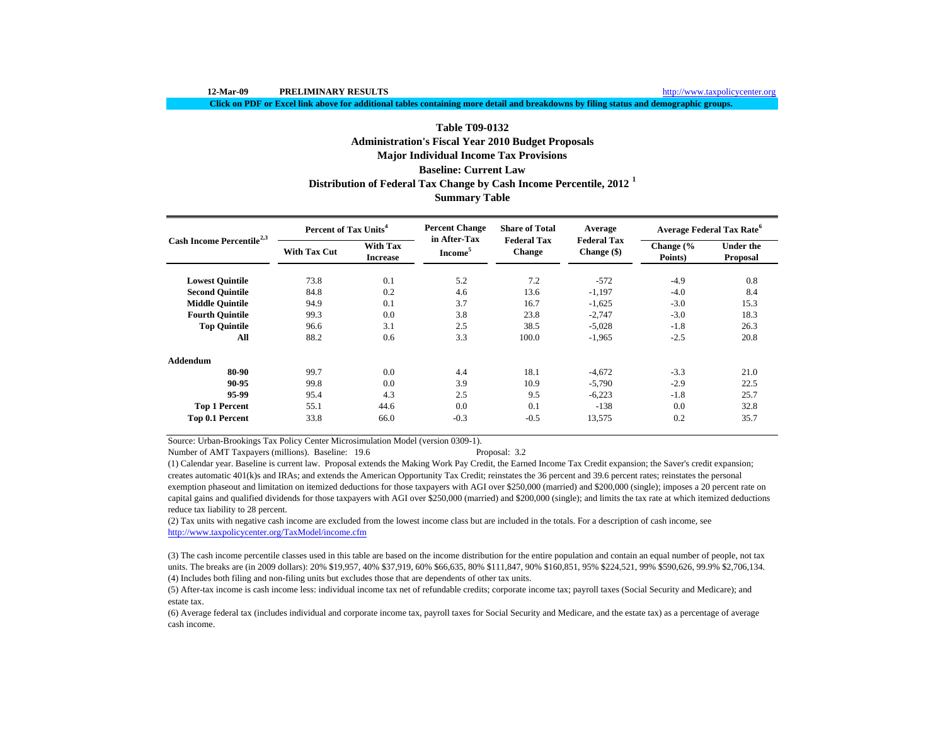http://www.taxpolicycenter.org

**Click on PDF or Excel link above for additional tables containing more detail and breakdowns by filing status and demographic groups.**

# **Table T09-0132Administration's Fiscal Year 2010 Budget Proposals Summary Table Major Individual Income Tax Provisions Baseline: Current Law Distribution of Federal Tax Change by Cash Income Percentile, 2012 <sup>1</sup>**

| Cash Income Percentile <sup>2,3</sup> | Percent of Tax Units <sup>4</sup> |                                    | <b>Percent Change</b>               | <b>Share of Total</b>               | Average                             | <b>Average Federal Tax Rate<sup>6</sup></b> |                              |  |
|---------------------------------------|-----------------------------------|------------------------------------|-------------------------------------|-------------------------------------|-------------------------------------|---------------------------------------------|------------------------------|--|
|                                       | <b>With Tax Cut</b>               | <b>With Tax</b><br><b>Increase</b> | in After-Tax<br>Income <sup>5</sup> | <b>Federal Tax</b><br><b>Change</b> | <b>Federal Tax</b><br>Change $(\$)$ | Change (%<br>Points)                        | <b>Under the</b><br>Proposal |  |
| <b>Lowest Quintile</b>                | 73.8                              | 0.1                                | 5.2                                 | 7.2                                 | $-572$                              | $-4.9$                                      | 0.8                          |  |
| <b>Second Quintile</b>                | 84.8                              | 0.2                                | 4.6                                 | 13.6                                | $-1,197$                            | $-4.0$                                      | 8.4                          |  |
| <b>Middle Quintile</b>                | 94.9                              | 0.1                                | 3.7                                 | 16.7                                | $-1,625$                            | $-3.0$                                      | 15.3                         |  |
| <b>Fourth Quintile</b>                | 99.3                              | 0.0                                | 3.8                                 | 23.8                                | $-2,747$                            | $-3.0$                                      | 18.3                         |  |
| <b>Top Quintile</b>                   | 96.6                              | 3.1                                | 2.5                                 | 38.5                                | $-5,028$                            | $-1.8$                                      | 26.3                         |  |
| All                                   | 88.2                              | 0.6                                | 3.3                                 | 100.0                               | $-1,965$                            | $-2.5$                                      | 20.8                         |  |
| <b>Addendum</b>                       |                                   |                                    |                                     |                                     |                                     |                                             |                              |  |
| 80-90                                 | 99.7                              | 0.0                                | 4.4                                 | 18.1                                | $-4,672$                            | $-3.3$                                      | 21.0                         |  |
| 90-95                                 | 99.8                              | 0.0                                | 3.9                                 | 10.9                                | $-5,790$                            | $-2.9$                                      | 22.5                         |  |
| 95-99                                 | 95.4                              | 4.3                                | 2.5                                 | 9.5                                 | $-6.223$                            | $-1.8$                                      | 25.7                         |  |
| <b>Top 1 Percent</b>                  | 55.1                              | 44.6                               | 0.0                                 | 0.1                                 | $-138$                              | 0.0                                         | 32.8                         |  |
| Top 0.1 Percent                       | 33.8                              | 66.0                               | $-0.3$                              | $-0.5$                              | 13,575                              | 0.2                                         | 35.7                         |  |

Source: Urban-Brookings Tax Policy Center Microsimulation Model (version 0309-1).

Number of AMT Taxpayers (millions). Baseline: 19.6 Proposal: 3.2

(1) Calendar year. Baseline is current law. Proposal extends the Making Work Pay Credit, the Earned Income Tax Credit expansion; the Saver's credit expansion; creates automatic 401(k)s and IRAs; and extends the American Opportunity Tax Credit; reinstates the 36 percent and 39.6 percent rates; reinstates the personal exemption phaseout and limitation on itemized deductions for those taxpayers with AGI over \$250,000 (married) and \$200,000 (single); imposes a 20 percent rate on capital gains and qualified dividends for those taxpayers with AGI over \$250,000 (married) and \$200,000 (single); and limits the tax rate at which itemized deductions reduce tax liability to 28 percent.

(2) Tax units with negative cash income are excluded from the lowest income class but are included in the totals. For a description of cash income, see http://www.taxpolicycenter.org/TaxModel/income.cfm

(4) Includes both filing and non-filing units but excludes those that are dependents of other tax units. (3) The cash income percentile classes used in this table are based on the income distribution for the entire population and contain an equal number of people, not tax units. The breaks are (in 2009 dollars): 20% \$19,957, 40% \$37,919, 60% \$66,635, 80% \$111,847, 90% \$160,851, 95% \$224,521, 99% \$590,626, 99.9% \$2,706,134.

(5) After-tax income is cash income less: individual income tax net of refundable credits; corporate income tax; payroll taxes (Social Security and Medicare); and estate tax.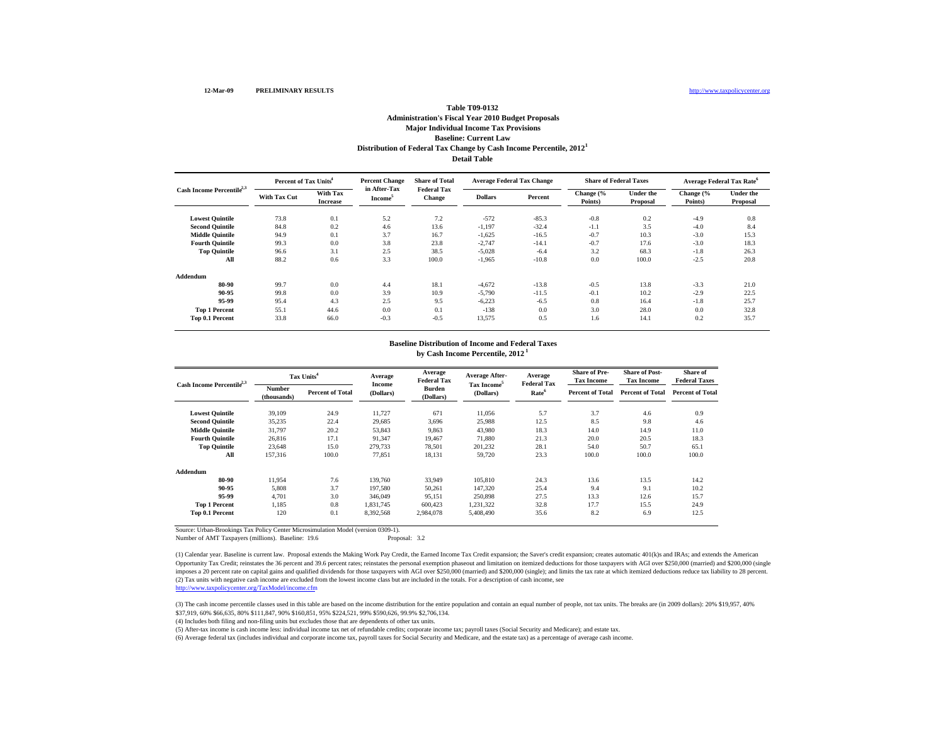### **Baseline: Current Law Distribution of Federal Tax Change by Cash Income Percentile, 2012 1 Table T09-0132Administration's Fiscal Year 2010 Budget Proposals Major Individual Income Tax Provisions Detail Table**

| Cash Income Percentile <sup>2,3</sup> | Percent of Tax Units <sup>4</sup> |                                    | <b>Percent Change</b>               | <b>Share of Total</b>               | <b>Average Federal Tax Change</b> |         | <b>Share of Federal Taxes</b> |                              | Average Federal Tax Rate <sup>6</sup> |                              |
|---------------------------------------|-----------------------------------|------------------------------------|-------------------------------------|-------------------------------------|-----------------------------------|---------|-------------------------------|------------------------------|---------------------------------------|------------------------------|
|                                       | <b>With Tax Cut</b>               | <b>With Tax</b><br><b>Increase</b> | in After-Tax<br>Income <sup>5</sup> | <b>Federal Tax</b><br><b>Change</b> | <b>Dollars</b>                    | Percent | Change (%<br>Points)          | <b>Under the</b><br>Proposal | Change (%<br>Points)                  | <b>Under the</b><br>Proposal |
| <b>Lowest Quintile</b>                | 73.8                              | 0.1                                | 5.2                                 | 7.2                                 | $-572$                            | $-85.3$ | $-0.8$                        | 0.2                          | $-4.9$                                | 0.8                          |
| <b>Second Quintile</b>                | 84.8                              | 0.2                                | 4.6                                 | 13.6                                | $-1,197$                          | $-32.4$ | $-1.1$                        | 3.5                          | $-4.0$                                | 8.4                          |
| <b>Middle Quintile</b>                | 94.9                              | 0.1                                | 3.7                                 | 16.7                                | $-1,625$                          | $-16.5$ | $-0.7$                        | 10.3                         | $-3.0$                                | 15.3                         |
| <b>Fourth Quintile</b>                | 99.3                              | 0.0                                | 3.8                                 | 23.8                                | $-2,747$                          | $-14.1$ | $-0.7$                        | 17.6                         | $-3.0$                                | 18.3                         |
| <b>Top Quintile</b>                   | 96.6                              | 3.1                                | 2.5                                 | 38.5                                | $-5,028$                          | $-6.4$  | 3.2                           | 68.3                         | $-1.8$                                | 26.3                         |
| All                                   | 88.2                              | 0.6                                | 3.3                                 | 100.0                               | $-1,965$                          | $-10.8$ | 0.0                           | 100.0                        | $-2.5$                                | 20.8                         |
| Addendum                              |                                   |                                    |                                     |                                     |                                   |         |                               |                              |                                       |                              |
| 80-90                                 | 99.7                              | 0.0                                | 4.4                                 | 18.1                                | $-4.672$                          | $-13.8$ | $-0.5$                        | 13.8                         | $-3.3$                                | 21.0                         |
| 90-95                                 | 99.8                              | 0.0                                | 3.9                                 | 10.9                                | $-5,790$                          | $-11.5$ | $-0.1$                        | 10.2                         | $-2.9$                                | 22.5                         |
| 95-99                                 | 95.4                              | 4.3                                | 2.5                                 | 9.5                                 | $-6,223$                          | $-6.5$  | 0.8                           | 16.4                         | $-1.8$                                | 25.7                         |
| <b>Top 1 Percent</b>                  | 55.1                              | 44.6                               | 0.0                                 | 0.1                                 | $-138$                            | 0.0     | 3.0                           | 28.0                         | 0.0                                   | 32.8                         |
| <b>Top 0.1 Percent</b>                | 33.8                              | 66.0                               | $-0.3$                              | $-0.5$                              | 13,575                            | 0.5     | 1.6                           | 14.1                         | 0.2                                   | 35.7                         |

# **Baseline Distribution of Income and Federal Taxes**

**by Cash Income Percentile, 2012 1**

| Cash Income Percentile <sup>2,3</sup> |                              | Tax Units <sup>4</sup>  | Average<br><b>Income</b> | Average<br><b>Federal Tax</b> | Average After-                       | Average<br><b>Federal Tax</b> | <b>Share of Pre-</b><br><b>Tax Income</b> | <b>Share of Post-</b><br><b>Tax Income</b> | Share of<br><b>Federal Taxes</b> |
|---------------------------------------|------------------------------|-------------------------|--------------------------|-------------------------------|--------------------------------------|-------------------------------|-------------------------------------------|--------------------------------------------|----------------------------------|
|                                       | <b>Number</b><br>(thousands) | <b>Percent of Total</b> | (Dollars)                | <b>Burden</b><br>(Dollars)    | Tax Income <sup>5</sup><br>(Dollars) | Rate <sup>6</sup>             | <b>Percent of Total</b>                   | <b>Percent of Total</b>                    | <b>Percent of Total</b>          |
| <b>Lowest Quintile</b>                | 39,109                       | 24.9                    | 11,727                   | 671                           | 11,056                               | 5.7                           | 3.7                                       | 4.6                                        | 0.9                              |
| <b>Second Quintile</b>                | 35,235                       | 22.4                    | 29,685                   | 3.696                         | 25,988                               | 12.5                          | 8.5                                       | 9.8                                        | 4.6                              |
| <b>Middle Quintile</b>                | 31,797                       | 20.2                    | 53,843                   | 9,863                         | 43.980                               | 18.3                          | 14.0                                      | 14.9                                       | 11.0                             |
| <b>Fourth Quintile</b>                | 26.816                       | 17.1                    | 91,347                   | 19.467                        | 71.880                               | 21.3                          | 20.0                                      | 20.5                                       | 18.3                             |
| <b>Top Quintile</b>                   | 23,648                       | 15.0                    | 279,733                  | 78,501                        | 201,232                              | 28.1                          | 54.0                                      | 50.7                                       | 65.1                             |
| All                                   | 157,316                      | 100.0                   | 77,851                   | 18,131                        | 59,720                               | 23.3                          | 100.0                                     | 100.0                                      | 100.0                            |
| Addendum                              |                              |                         |                          |                               |                                      |                               |                                           |                                            |                                  |
| 80-90                                 | 11.954                       | 7.6                     | 139,760                  | 33,949                        | 105,810                              | 24.3                          | 13.6                                      | 13.5                                       | 14.2                             |
| 90-95                                 | 5,808                        | 3.7                     | 197,580                  | 50,261                        | 147,320                              | 25.4                          | 9.4                                       | 9.1                                        | 10.2                             |
| 95-99                                 | 4.701                        | 3.0                     | 346,049                  | 95,151                        | 250,898                              | 27.5                          | 13.3                                      | 12.6                                       | 15.7                             |
| <b>Top 1 Percent</b>                  | 1.185                        | 0.8                     | 1.831.745                | 600.423                       | 1,231,322                            | 32.8                          | 17.7                                      | 15.5                                       | 24.9                             |
| Top 0.1 Percent                       | 120                          | 0.1                     | 8,392,568                | 2,984,078                     | 5,408,490                            | 35.6                          | 8.2                                       | 6.9                                        | 12.5                             |

Source: Urban-Brookings Tax Policy Center Microsimulation Model (version 0309-1).

Number of AMT Taxpayers (millions). Baseline: 19.6 Proposal: 3.2

(2) Tax units with negative cash income are excluded from the lowest income class but are included in the totals. For a description of cash income, see http://www.taxpolicycenter.org/TaxModel/income.cfm (1) Calendar year. Baseline is current law. Proposal extends the Making Work Pay Credit, the Earned Income Tax Credit expansion; the Saver's credit expansion; creates automatic 401(k)s and IRAs; and extends the American Opportunity Tax Credit; reinstates the 36 percent and 39.6 percent rates; reinstates the personal exemption phaseout and limitation on itemized deductions for those taxpayers with AGI over \$250,000 (married) and \$200,000 ( imposes a 20 percent rate on capital gains and qualified dividends for those taxpayers with AGI over \$250,000 (married) and \$200,000 (single); and limits the tax rate at which itemized deductions reduce tax liability to 28

(3) The cash income percentile classes used in this table are based on the income distribution for the entire population and contain an equal number of people, not tax units. The breaks are (in 2009 dollars): 20% \$19,957, \$37,919, 60% \$66,635, 80% \$111,847, 90% \$160,851, 95% \$224,521, 99% \$590,626, 99.9% \$2,706,134.

(4) Includes both filing and non-filing units but excludes those that are dependents of other tax units.

(5) After-tax income is cash income less: individual income tax net of refundable credits; corporate income tax; payroll taxes (Social Security and Medicare); and estate tax.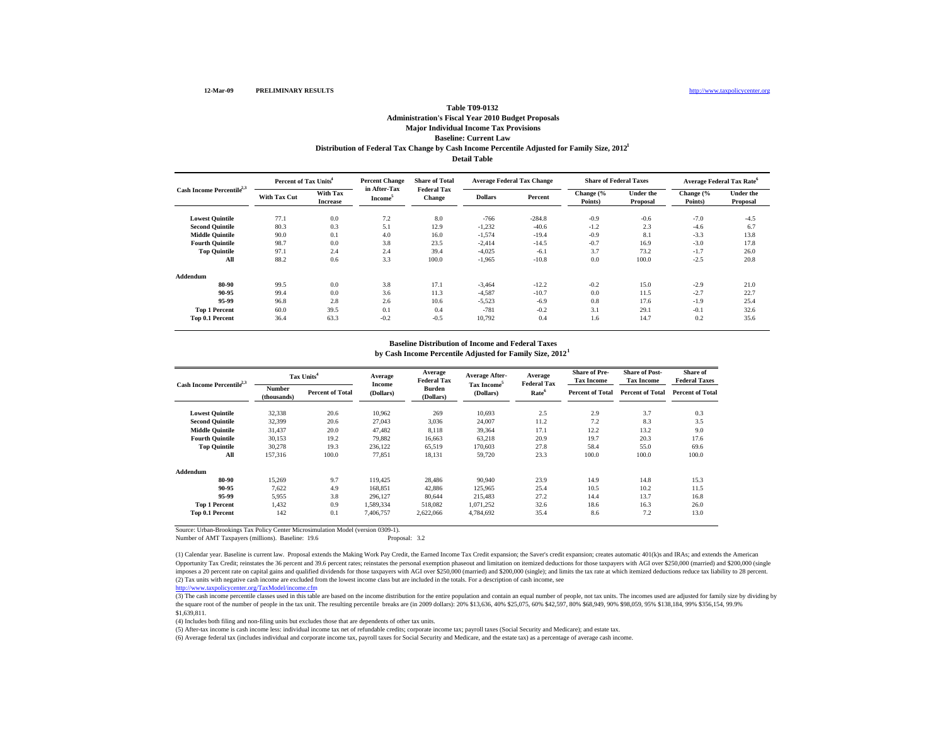### **Baseline: Current Law Distribution of Federal Tax Change by Cash Income Percentile Adjusted for Family Size, 2012 1 Table T09-0132Administration's Fiscal Year 2010 Budget Proposals Major Individual Income Tax Provisions Detail Table**

|                                       | Percent of Tax Units <sup>4</sup> |                                    | <b>Percent Change</b><br>in After-Tax | <b>Share of Total</b>               |                | <b>Average Federal Tax Change</b> | <b>Share of Federal Taxes</b> |                              | <b>Average Federal Tax Rate<sup>6</sup></b> |                              |
|---------------------------------------|-----------------------------------|------------------------------------|---------------------------------------|-------------------------------------|----------------|-----------------------------------|-------------------------------|------------------------------|---------------------------------------------|------------------------------|
| Cash Income Percentile <sup>2,3</sup> | <b>With Tax Cut</b>               | <b>With Tax</b><br><b>Increase</b> | Income <sup>5</sup>                   | <b>Federal Tax</b><br><b>Change</b> | <b>Dollars</b> | Percent                           | Change (%<br>Points)          | <b>Under the</b><br>Proposal | Change $\frac{6}{6}$<br>Points)             | <b>Under the</b><br>Proposal |
| <b>Lowest Quintile</b>                | 77.1                              | 0.0                                | 7.2                                   | 8.0                                 | $-766$         | $-284.8$                          | $-0.9$                        | $-0.6$                       | $-7.0$                                      | $-4.5$                       |
| <b>Second Quintile</b>                | 80.3                              | 0.3                                | 5.1                                   | 12.9                                | $-1,232$       | $-40.6$                           | $-1.2$                        | 2.3                          | $-4.6$                                      | 6.7                          |
| <b>Middle Ouintile</b>                | 90.0                              | 0.1                                | 4.0                                   | 16.0                                | $-1,574$       | $-19.4$                           | $-0.9$                        | 8.1                          | $-3.3$                                      | 13.8                         |
| <b>Fourth Ouintile</b>                | 98.7                              | 0.0                                | 3.8                                   | 23.5                                | $-2,414$       | $-14.5$                           | $-0.7$                        | 16.9                         | $-3.0$                                      | 17.8                         |
| <b>Top Quintile</b>                   | 97.1                              | 2.4                                | 2.4                                   | 39.4                                | $-4,025$       | $-6.1$                            | 3.7                           | 73.2                         | $-1.7$                                      | 26.0                         |
| All                                   | 88.2                              | 0.6                                | 3.3                                   | 100.0                               | $-1,965$       | $-10.8$                           | 0.0                           | 100.0                        | $-2.5$                                      | 20.8                         |
| Addendum                              |                                   |                                    |                                       |                                     |                |                                   |                               |                              |                                             |                              |
| 80-90                                 | 99.5                              | 0.0                                | 3.8                                   | 17.1                                | $-3,464$       | $-12.2$                           | $-0.2$                        | 15.0                         | $-2.9$                                      | 21.0                         |
| 90-95                                 | 99.4                              | 0.0                                | 3.6                                   | 11.3                                | $-4,587$       | $-10.7$                           | 0.0                           | 11.5                         | $-2.7$                                      | 22.7                         |
| 95-99                                 | 96.8                              | 2.8                                | 2.6                                   | 10.6                                | $-5,523$       | $-6.9$                            | 0.8                           | 17.6                         | $-1.9$                                      | 25.4                         |
| <b>Top 1 Percent</b>                  | 60.0                              | 39.5                               | 0.1                                   | 0.4                                 | $-781$         | $-0.2$                            | 3.1                           | 29.1                         | $-0.1$                                      | 32.6                         |
| Top 0.1 Percent                       | 36.4                              | 63.3                               | $-0.2$                                | $-0.5$                              | 10,792         | 0.4                               | 1.6                           | 14.7                         | 0.2                                         | 35.6                         |

#### **Baseline Distribution of Income and Federal Taxes**

**by Cash Income Percentile Adjusted for Family Size, 2012 1**

| Cash Income Percentile <sup>2,3</sup> |                       | Tax Units <sup>4</sup>  | Average<br><b>Income</b> | Average<br><b>Federal Tax</b> | Average After-                       | Average<br><b>Federal Tax</b> | <b>Share of Pre-</b><br><b>Tax Income</b> | <b>Share of Post-</b><br><b>Tax Income</b> | Share of<br><b>Federal Taxes</b> |
|---------------------------------------|-----------------------|-------------------------|--------------------------|-------------------------------|--------------------------------------|-------------------------------|-------------------------------------------|--------------------------------------------|----------------------------------|
|                                       | Number<br>(thousands) | <b>Percent of Total</b> | (Dollars)                | <b>Burden</b><br>(Dollars)    | Tax Income <sup>5</sup><br>(Dollars) | Rate <sup>6</sup>             | <b>Percent of Total</b>                   | <b>Percent of Total</b>                    | <b>Percent of Total</b>          |
| <b>Lowest Quintile</b>                | 32,338                | 20.6                    | 10,962                   | 269                           | 10.693                               | 2.5                           | 2.9                                       | 3.7                                        | 0.3                              |
| <b>Second Quintile</b>                | 32,399                | 20.6                    | 27,043                   | 3.036                         | 24,007                               | 11.2                          | 7.2                                       | 8.3                                        | 3.5                              |
| <b>Middle Quintile</b>                | 31,437                | 20.0                    | 47,482                   | 8,118                         | 39,364                               | 17.1                          | 12.2                                      | 13.2                                       | 9.0                              |
| <b>Fourth Ouintile</b>                | 30,153                | 19.2                    | 79,882                   | 16,663                        | 63,218                               | 20.9                          | 19.7                                      | 20.3                                       | 17.6                             |
| <b>Top Quintile</b>                   | 30,278                | 19.3                    | 236,122                  | 65,519                        | 170,603                              | 27.8                          | 58.4                                      | 55.0                                       | 69.6                             |
| All                                   | 157,316               | 100.0                   | 77,851                   | 18,131                        | 59,720                               | 23.3                          | 100.0                                     | 100.0                                      | 100.0                            |
| Addendum                              |                       |                         |                          |                               |                                      |                               |                                           |                                            |                                  |
| 80-90                                 | 15,269                | 9.7                     | 119.425                  | 28,486                        | 90,940                               | 23.9                          | 14.9                                      | 14.8                                       | 15.3                             |
| 90-95                                 | 7,622                 | 4.9                     | 168,851                  | 42,886                        | 125,965                              | 25.4                          | 10.5                                      | 10.2                                       | 11.5                             |
| 95-99                                 | 5,955                 | 3.8                     | 296.127                  | 80,644                        | 215,483                              | 27.2                          | 14.4                                      | 13.7                                       | 16.8                             |
| <b>Top 1 Percent</b>                  | 1,432                 | 0.9                     | 1,589,334                | 518,082                       | 1,071,252                            | 32.6                          | 18.6                                      | 16.3                                       | 26.0                             |
| Top 0.1 Percent                       | 142                   | 0.1                     | 7,406,757                | 2,622,066                     | 4,784,692                            | 35.4                          | 8.6                                       | 7.2                                        | 13.0                             |

Source: Urban-Brookings Tax Policy Center Microsimulation Model (version 0309-1).

Number of AMT Taxpayers (millions). Baseline: 19.6 Proposal: 3.2

(2) Tax units with negative cash income are excluded from the lowest income class but are included in the totals. For a description of cash income, see http://www.taxpolicycenter.org/TaxModel/income.cfm (1) Calendar year. Baseline is current law. Proposal extends the Making Work Pay Credit, the Earned Income Tax Credit expansion; the Saver's credit expansion; creates automatic 401(k)s and IRAs; and extends the American Opportunity Tax Credit; reinstates the 36 percent and 39.6 percent rates; reinstates the personal exemption phaseout and limitation on itemized deductions for those taxpayers with AGI over \$250,000 (married) and \$200,000 ( imposes a 20 percent rate on capital gains and qualified dividends for those taxpayers with AGI over \$250,000 (married) and \$200,000 (single); and limits the tax rate at which itemized deductions reduce tax liability to 28

(3) The cash income percentile classes used in this table are based on the income distribution for the entire population and contain an equal number of people, not tax units. The incomes used are adjusted for family size b the square root of the number of people in the tax unit. The resulting percentile breaks are (in 2009 dollars): 20% \$13,636, 40% \$25,075, 60% \$42,597, 80% \$68,949, 90% \$68,949, 90% \$98,059, 95% \$138,184, 99% \$356,154, 99.9 \$1,639,811.

(4) Includes both filing and non-filing units but excludes those that are dependents of other tax units.

(5) After-tax income is cash income less: individual income tax net of refundable credits; corporate income tax; payroll taxes (Social Security and Medicare); and estate tax.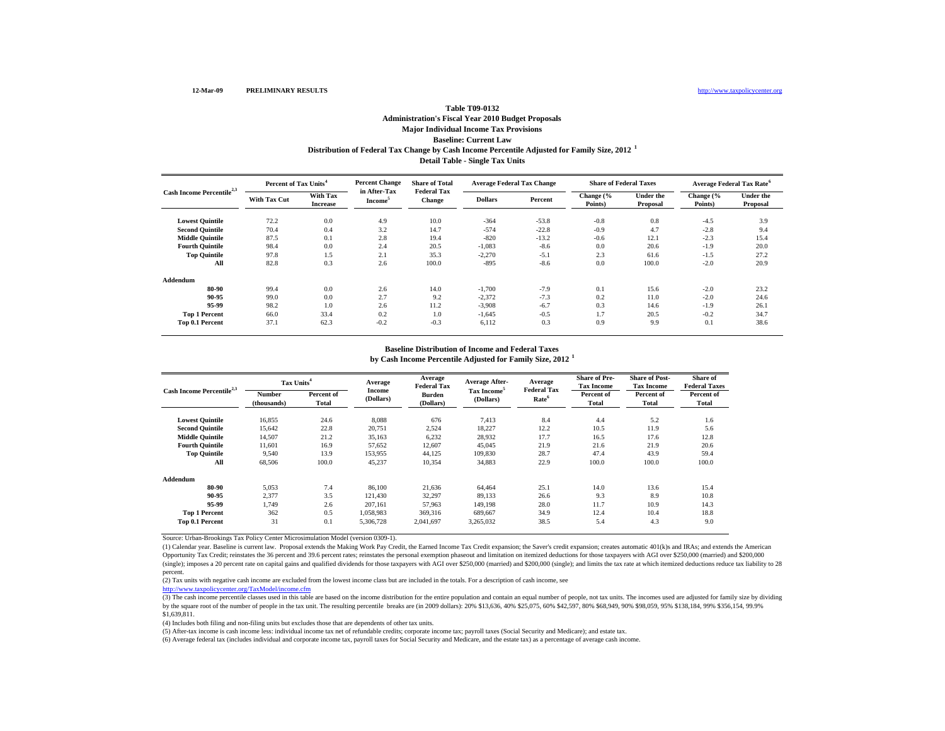# **Baseline: Current Law Distribution of Federal Tax Change by Cash Income Percentile Adjusted for Family Size, 2012 <sup>1</sup> Table T09-0132Administration's Fiscal Year 2010 Budget Proposals Major Individual Income Tax Provisions Detail Table - Single Tax Units**

| Cash Income Percentile <sup>2,3</sup> | Percent of Tax Units <sup>4</sup> |                             | <b>Percent Change</b>               | <b>Share of Total</b>               |                | <b>Average Federal Tax Change</b> |                      | <b>Share of Federal Taxes</b> | <b>Average Federal Tax Rate<sup>6</sup></b> |                              |
|---------------------------------------|-----------------------------------|-----------------------------|-------------------------------------|-------------------------------------|----------------|-----------------------------------|----------------------|-------------------------------|---------------------------------------------|------------------------------|
|                                       | <b>With Tax Cut</b>               | With Tax<br><b>Increase</b> | in After-Tax<br>Income <sup>5</sup> | <b>Federal Tax</b><br><b>Change</b> | <b>Dollars</b> | Percent                           | Change (%<br>Points) | <b>Under the</b><br>Proposal  | Change (%<br>Points)                        | <b>Under the</b><br>Proposal |
| <b>Lowest Quintile</b>                | 72.2                              | 0.0                         | 4.9                                 | 10.0                                | $-364$         | $-53.8$                           | $-0.8$               | 0.8                           | $-4.5$                                      | 3.9                          |
| <b>Second Quintile</b>                | 70.4                              | 0.4                         | 3.2                                 | 14.7                                | $-574$         | $-22.8$                           | $-0.9$               | 4.7                           | $-2.8$                                      | 9.4                          |
| <b>Middle Quintile</b>                | 87.5                              | 0.1                         | 2.8                                 | 19.4                                | $-820$         | $-13.2$                           | $-0.6$               | 12.1                          | $-2.3$                                      | 15.4                         |
| <b>Fourth Quintile</b>                | 98.4                              | 0.0                         | 2.4                                 | 20.5                                | $-1,083$       | $-8.6$                            | 0.0                  | 20.6                          | $-1.9$                                      | 20.0                         |
| <b>Top Quintile</b>                   | 97.8                              | 1.5                         | 2.1                                 | 35.3                                | $-2,270$       | $-5.1$                            | 2.3                  | 61.6                          | $-1.5$                                      | 27.2                         |
| All                                   | 82.8                              | 0.3                         | 2.6                                 | 100.0                               | $-895$         | $-8.6$                            | 0.0                  | 100.0                         | $-2.0$                                      | 20.9                         |
| Addendum                              |                                   |                             |                                     |                                     |                |                                   |                      |                               |                                             |                              |
| 80-90                                 | 99.4                              | 0.0                         | 2.6                                 | 14.0                                | $-1,700$       | $-7.9$                            | 0.1                  | 15.6                          | $-2.0$                                      | 23.2                         |
| 90-95                                 | 99.0                              | 0.0                         | 2.7                                 | 9.2                                 | $-2,372$       | $-7.3$                            | 0.2                  | 11.0                          | $-2.0$                                      | 24.6                         |
| 95-99                                 | 98.2                              | 1.0                         | 2.6                                 | 11.2                                | $-3,908$       | $-6.7$                            | 0.3                  | 14.6                          | $-1.9$                                      | 26.1                         |
| <b>Top 1 Percent</b>                  | 66.0                              | 33.4                        | 0.2                                 | 1.0                                 | $-1,645$       | $-0.5$                            | 1.7                  | 20.5                          | $-0.2$                                      | 34.7                         |
| Top 0.1 Percent                       | 37.1                              | 62.3                        | $-0.2$                              | $-0.3$                              | 6,112          | 0.3                               | 0.9                  | 9.9                           | 0.1                                         | 38.6                         |

# **Baseline Distribution of Income and Federal Taxes**

**by Cash Income Percentile Adjusted for Family Size, 2012 <sup>1</sup>**

| Cash Income Percentile <sup>2,3</sup> | Tax Units <sup>4</sup> |                     | Average             | Average<br><b>Federal Tax</b> | <b>Average After-</b>                | Average<br><b>Federal Tax</b> | <b>Share of Pre-</b><br><b>Tax Income</b> | <b>Share of Post-</b><br><b>Tax Income</b> | Share of<br><b>Federal Taxes</b> |
|---------------------------------------|------------------------|---------------------|---------------------|-------------------------------|--------------------------------------|-------------------------------|-------------------------------------------|--------------------------------------------|----------------------------------|
|                                       | Number<br>(thousands)  | Percent of<br>Total | Income<br>(Dollars) | <b>Burden</b><br>(Dollars)    | Tax Income <sup>5</sup><br>(Dollars) | Rate <sup>6</sup>             | Percent of<br><b>Total</b>                | Percent of<br>Total                        | Percent of<br>Total              |
| <b>Lowest Quintile</b>                | 16,855                 | 24.6                | 8,088               | 676                           | 7,413                                | 8.4                           | 4.4                                       | 5.2                                        | 1.6                              |
| <b>Second Ouintile</b>                | 15,642                 | 22.8                | 20,751              | 2,524                         | 18.227                               | 12.2                          | 10.5                                      | 11.9                                       | 5.6                              |
| <b>Middle Quintile</b>                | 14,507                 | 21.2                | 35,163              | 6,232                         | 28.932                               | 17.7                          | 16.5                                      | 17.6                                       | 12.8                             |
| <b>Fourth Quintile</b>                | 11,601                 | 16.9                | 57,652              | 12,607                        | 45.045                               | 21.9                          | 21.6                                      | 21.9                                       | 20.6                             |
| <b>Top Quintile</b>                   | 9.540                  | 13.9                | 153,955             | 44,125                        | 109,830                              | 28.7                          | 47.4                                      | 43.9                                       | 59.4                             |
| All                                   | 68,506                 | 100.0               | 45,237              | 10,354                        | 34,883                               | 22.9                          | 100.0                                     | 100.0                                      | 100.0                            |
| Addendum                              |                        |                     |                     |                               |                                      |                               |                                           |                                            |                                  |
| 80-90                                 | 5,053                  | 7.4                 | 86,100              | 21,636                        | 64.464                               | 25.1                          | 14.0                                      | 13.6                                       | 15.4                             |
| 90-95                                 | 2,377                  | 3.5                 | 121.430             | 32,297                        | 89.133                               | 26.6                          | 9.3                                       | 8.9                                        | 10.8                             |
| 95-99                                 | 1.749                  | 2.6                 | 207.161             | 57,963                        | 149.198                              | 28.0                          | 11.7                                      | 10.9                                       | 14.3                             |
| <b>Top 1 Percent</b>                  | 362                    | 0.5                 | 1,058,983           | 369,316                       | 689,667                              | 34.9                          | 12.4                                      | 10.4                                       | 18.8                             |
| Top 0.1 Percent                       | 31                     | 0.1                 | 5,306,728           | 2,041,697                     | 3,265,032                            | 38.5                          | 5.4                                       | 4.3                                        | 9.0                              |

Source: Urban-Brookings Tax Policy Center Microsimulation Model (version 0309-1).

(1) Calendar year. Baseline is current law. Proposal extends the Making Work Pay Credit, the Earned Income Tax Credit expansion; the Saver's credit expansion; creates automatic 401(k)s and IRAs; and extends the American Opportunity Tax Credit; reinstates the 36 percent and 39.6 percent rates; reinstates the personal exemption phaseout and limitation on itemized deductions for those taxpayers with AGI over \$250,000 (married) and \$200,000 (single); imposes a 20 percent rate on capital gains and qualified dividends for those taxpayers with AGI over \$250,000 (married) and \$200,000 (single); and limits the tax rate at which itemized deductions reduce tax liabi percent.

(2) Tax units with negative cash income are excluded from the lowest income class but are included in the totals. For a description of cash income, see

http://www.taxpolicycenter.org/TaxModel/income.cfm

(3) The cash income percentile classes used in this table are based on the income distribution for the entire population and contain an equal number of people, not tax units. The incomes used are adjusted for family size b by the square root of the number of people in the tax unit. The resulting percentile breaks are (in 2009 dollars): 20% \$13,636, 40% \$25,075, 60% \$42,597, 80% \$68,949, 90% \$98,059, 95% \$138,184, 99% \$356,154, 99.9% \$1,639,811.

(4) Includes both filing and non-filing units but excludes those that are dependents of other tax units.

(5) After-tax income is cash income less: individual income tax net of refundable credits; corporate income tax; payroll taxes (Social Security and Medicare); and estate tax.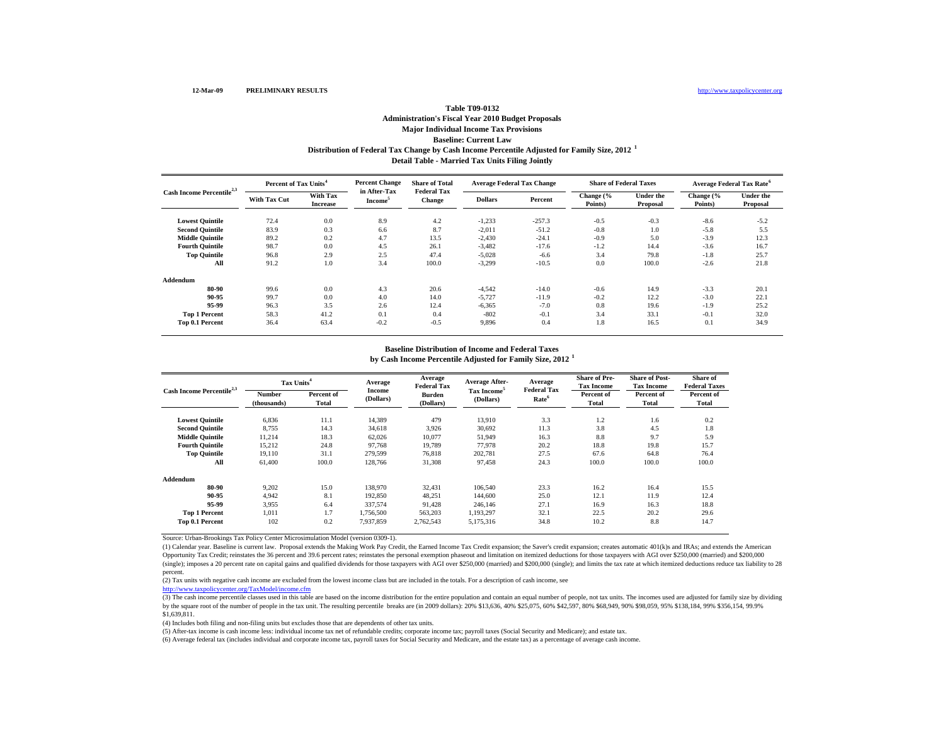# **Baseline: Current Law Distribution of Federal Tax Change by Cash Income Percentile Adjusted for Family Size, 2012 <sup>1</sup> Table T09-0132Administration's Fiscal Year 2010 Budget Proposals Major Individual Income Tax Provisions Detail Table - Married Tax Units Filing Jointly**

| Cash Income Percentile <sup>2,3</sup> | Percent of Tax Units <sup>4</sup> |                             | <b>Percent Change</b>               | <b>Share of Total</b>        | <b>Average Federal Tax Change</b> |          | <b>Share of Federal Taxes</b> |                              | Average Federal Tax Rate <sup>6</sup> |                              |
|---------------------------------------|-----------------------------------|-----------------------------|-------------------------------------|------------------------------|-----------------------------------|----------|-------------------------------|------------------------------|---------------------------------------|------------------------------|
|                                       | <b>With Tax Cut</b>               | With Tax<br><b>Increase</b> | in After-Tax<br>Income <sup>5</sup> | <b>Federal Tax</b><br>Change | <b>Dollars</b>                    | Percent  | Change (%<br>Points)          | <b>Under the</b><br>Proposal | Change (%<br>Points)                  | <b>Under the</b><br>Proposal |
| <b>Lowest Quintile</b>                | 72.4                              | 0.0                         | 8.9                                 | 4.2                          | $-1,233$                          | $-257.3$ | $-0.5$                        | $-0.3$                       | $-8.6$                                | $-5.2$                       |
| <b>Second Quintile</b>                | 83.9                              | 0.3                         | 6.6                                 | 8.7                          | $-2,011$                          | $-51.2$  | $-0.8$                        | 1.0                          | $-5.8$                                | 5.5                          |
| <b>Middle Quintile</b>                | 89.2                              | 0.2                         | 4.7                                 | 13.5                         | $-2,430$                          | $-24.1$  | $-0.9$                        | 5.0                          | $-3.9$                                | 12.3                         |
| <b>Fourth Quintile</b>                | 98.7                              | 0.0                         | 4.5                                 | 26.1                         | $-3,482$                          | $-17.6$  | $-1.2$                        | 14.4                         | $-3.6$                                | 16.7                         |
| <b>Top Quintile</b>                   | 96.8                              | 2.9                         | 2.5                                 | 47.4                         | $-5,028$                          | $-6.6$   | 3.4                           | 79.8                         | $-1.8$                                | 25.7                         |
| All                                   | 91.2                              | 1.0                         | 3.4                                 | 100.0                        | $-3,299$                          | $-10.5$  | 0.0                           | 100.0                        | $-2.6$                                | 21.8                         |
| Addendum                              |                                   |                             |                                     |                              |                                   |          |                               |                              |                                       |                              |
| 80-90                                 | 99.6                              | 0.0                         | 4.3                                 | 20.6                         | $-4,542$                          | $-14.0$  | $-0.6$                        | 14.9                         | $-3.3$                                | 20.1                         |
| 90-95                                 | 99.7                              | 0.0                         | 4.0                                 | 14.0                         | $-5,727$                          | $-11.9$  | $-0.2$                        | 12.2                         | $-3.0$                                | 22.1                         |
| 95-99                                 | 96.3                              | 3.5                         | 2.6                                 | 12.4                         | $-6,365$                          | $-7.0$   | 0.8                           | 19.6                         | $-1.9$                                | 25.2                         |
| <b>Top 1 Percent</b>                  | 58.3                              | 41.2                        | 0.1                                 | 0.4                          | $-802$                            | $-0.1$   | 3.4                           | 33.1                         | $-0.1$                                | 32.0                         |
| Top 0.1 Percent                       | 36.4                              | 63.4                        | $-0.2$                              | $-0.5$                       | 9,896                             | 0.4      | 1.8                           | 16.5                         | 0.1                                   | 34.9                         |

# **Baseline Distribution of Income and Federal Taxes**

**by Cash Income Percentile Adjusted for Family Size, 2012 <sup>1</sup>**

| Cash Income Percentile <sup>2,3</sup> | Tax Units <sup>4</sup>       |                     | Average             | Average<br><b>Federal Tax</b> | <b>Average After-</b>                | Average<br><b>Federal Tax</b> | <b>Share of Pre-</b><br><b>Tax Income</b> | <b>Share of Post-</b><br><b>Tax Income</b> | <b>Share of</b><br><b>Federal Taxes</b> |
|---------------------------------------|------------------------------|---------------------|---------------------|-------------------------------|--------------------------------------|-------------------------------|-------------------------------------------|--------------------------------------------|-----------------------------------------|
|                                       | <b>Number</b><br>(thousands) | Percent of<br>Total | Income<br>(Dollars) | <b>Burden</b><br>(Dollars)    | Tax Income <sup>5</sup><br>(Dollars) | Rate <sup>6</sup>             | Percent of<br><b>Total</b>                | Percent of<br>Total                        | Percent of<br>Total                     |
| <b>Lowest Quintile</b>                | 6,836                        | 11.1                | 14,389              | 479                           | 13,910                               | 3.3                           | 1.2                                       | 1.6                                        | 0.2                                     |
| <b>Second Ouintile</b>                | 8,755                        | 14.3                | 34,618              | 3.926                         | 30.692                               | 11.3                          | 3.8                                       | 4.5                                        | 1.8                                     |
| <b>Middle Quintile</b>                | 11.214                       | 18.3                | 62.026              | 10.077                        | 51.949                               | 16.3                          | 8.8                                       | 9.7                                        | 5.9                                     |
| <b>Fourth Quintile</b>                | 15,212                       | 24.8                | 97.768              | 19.789                        | 77,978                               | 20.2                          | 18.8                                      | 19.8                                       | 15.7                                    |
| <b>Top Quintile</b>                   | 19.110                       | 31.1                | 279,599             | 76.818                        | 202.781                              | 27.5                          | 67.6                                      | 64.8                                       | 76.4                                    |
| All                                   | 61,400                       | 100.0               | 128,766             | 31,308                        | 97,458                               | 24.3                          | 100.0                                     | 100.0                                      | 100.0                                   |
| Addendum                              |                              |                     |                     |                               |                                      |                               |                                           |                                            |                                         |
| 80-90                                 | 9,202                        | 15.0                | 138,970             | 32,431                        | 106,540                              | 23.3                          | 16.2                                      | 16.4                                       | 15.5                                    |
| 90-95                                 | 4.942                        | 8.1                 | 192,850             | 48,251                        | 144,600                              | 25.0                          | 12.1                                      | 11.9                                       | 12.4                                    |
| 95-99                                 | 3.955                        | 6.4                 | 337,574             | 91.428                        | 246,146                              | 27.1                          | 16.9                                      | 16.3                                       | 18.8                                    |
| <b>Top 1 Percent</b>                  | 1.011                        | 1.7                 | 1,756,500           | 563,203                       | 1,193,297                            | 32.1                          | 22.5                                      | 20.2                                       | 29.6                                    |
| Top 0.1 Percent                       | 102                          | 0.2                 | 7,937,859           | 2,762,543                     | 5,175,316                            | 34.8                          | 10.2                                      | 8.8                                        | 14.7                                    |

Source: Urban-Brookings Tax Policy Center Microsimulation Model (version 0309-1).

(1) Calendar year. Baseline is current law. Proposal extends the Making Work Pay Credit, the Earned Income Tax Credit expansion; the Saver's credit expansion; creates automatic 401(k)s and IRAs; and extends the American Opportunity Tax Credit; reinstates the 36 percent and 39.6 percent rates; reinstates the personal exemption phaseout and limitation on itemized deductions for those taxpayers with AGI over \$250,000 (married) and \$200,000 (single); imposes a 20 percent rate on capital gains and qualified dividends for those taxpayers with AGI over \$250,000 (married) and \$200,000 (single); and limits the tax rate at which itemized deductions reduce tax liabi percent.

(2) Tax units with negative cash income are excluded from the lowest income class but are included in the totals. For a description of cash income, see

http://www.taxpolicycenter.org/TaxModel/income.cfm

(3) The cash income percentile classes used in this table are based on the income distribution for the entire population and contain an equal number of people, not tax units. The incomes used are adjusted for family size b by the square root of the number of people in the tax unit. The resulting percentile breaks are (in 2009 dollars): 20% \$13,636, 40% \$25,075, 60% \$42,597, 80% \$68,949, 90% \$98,059, 95% \$138,184, 99% \$356,154, 99.9% \$1,639,811.

(4) Includes both filing and non-filing units but excludes those that are dependents of other tax units.

(5) After-tax income is cash income less: individual income tax net of refundable credits; corporate income tax; payroll taxes (Social Security and Medicare); and estate tax.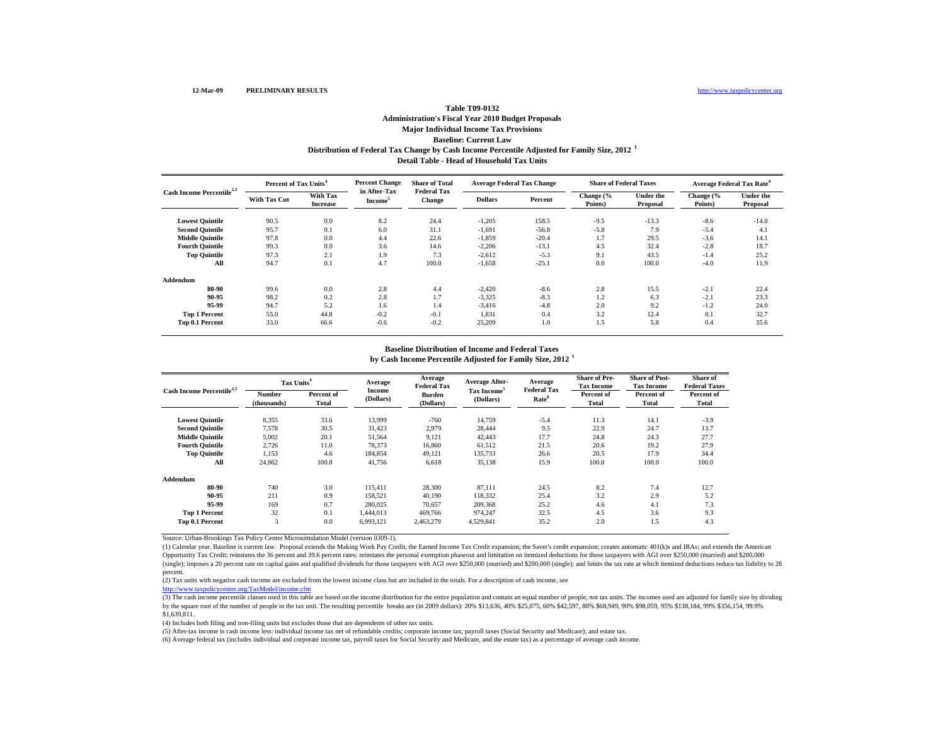# **Baseline: Current Law Distribution of Federal Tax Change by Cash Income Percentile Adjusted for Family Size, 2012 <sup>1</sup> Table T09-0132Administration's Fiscal Year 2010 Budget Proposals Major Individual Income Tax Provisions Detail Table - Head of Household Tax Units**

| Cash Income Percentile <sup>2,3</sup> | Percent of Tax Units <sup>4</sup> |                             | <b>Percent Change</b>               | <b>Share of Total</b>               | <b>Average Federal Tax Change</b> |         | <b>Share of Federal Taxes</b> |                              | <b>Average Federal Tax Rate<sup>6</sup></b> |                              |
|---------------------------------------|-----------------------------------|-----------------------------|-------------------------------------|-------------------------------------|-----------------------------------|---------|-------------------------------|------------------------------|---------------------------------------------|------------------------------|
|                                       | <b>With Tax Cut</b>               | With Tax<br><b>Increase</b> | in After-Tax<br>Income <sup>5</sup> | <b>Federal Tax</b><br><b>Change</b> | <b>Dollars</b>                    | Percent | Change (%<br>Points)          | <b>Under the</b><br>Proposal | Change (%<br>Points)                        | <b>Under the</b><br>Proposal |
| <b>Lowest Quintile</b>                | 90.5                              | 0.0                         | 8.2                                 | 24.4                                | $-1,205$                          | 158.5   | $-9.5$                        | $-13.3$                      | $-8.6$                                      | $-14.0$                      |
| <b>Second Quintile</b>                | 95.7                              | 0.1                         | 6.0                                 | 31.1                                | $-1,691$                          | $-56.8$ | $-5.8$                        | 7.9                          | $-5.4$                                      | 4.1                          |
| <b>Middle Quintile</b>                | 97.8                              | 0.0                         | 4.4                                 | 22.6                                | $-1,859$                          | $-20.4$ | 1.7                           | 29.5                         | $-3.6$                                      | 14.1                         |
| <b>Fourth Quintile</b>                | 99.3                              | 0.0                         | 3.6                                 | 14.6                                | $-2,206$                          | $-13.1$ | 4.5                           | 32.4                         | $-2.8$                                      | 18.7                         |
| <b>Top Quintile</b>                   | 97.3                              | 2.1                         | 1.9                                 | 7.3                                 | $-2,612$                          | $-5.3$  | 9.1                           | 43.5                         | $-1.4$                                      | 25.2                         |
| All                                   | 94.7                              | 0.1                         | 4.7                                 | 100.0                               | $-1,658$                          | $-25.1$ | 0.0                           | 100.0                        | $-4.0$                                      | 11.9                         |
| Addendum                              |                                   |                             |                                     |                                     |                                   |         |                               |                              |                                             |                              |
| 80-90                                 | 99.6                              | 0.0                         | 2.8                                 | 4.4                                 | $-2,420$                          | $-8.6$  | 2.8                           | 15.5                         | $-2.1$                                      | 22.4                         |
| 90-95                                 | 98.2                              | 0.2                         | 2.8                                 | 1.7                                 | $-3,325$                          | $-8.3$  | 1.2                           | 6.3                          | $-2.1$                                      | 23.3                         |
| 95-99                                 | 94.7                              | 5.2                         | 1.6                                 | 1.4                                 | $-3,416$                          | $-4.8$  | 2.0                           | 9.2                          | $-1.2$                                      | 24.0                         |
| <b>Top 1 Percent</b>                  | 55.0                              | 44.8                        | $-0.2$                              | $-0.1$                              | 1.831                             | 0.4     | 3.2                           | 12.4                         | 0.1                                         | 32.7                         |
| Top 0.1 Percent                       | 33.0                              | 66.6                        | $-0.6$                              | $-0.2$                              | 25,209                            | 1.0     | 1.5                           | 5.8                          | 0.4                                         | 35.6                         |

# **Baseline Distribution of Income and Federal Taxes**

**by Cash Income Percentile Adjusted for Family Size, 2012 <sup>1</sup>**

| Cash Income Percentile <sup>2,3</sup> | Tax Units <sup>4</sup> |                     | Average             | Average<br><b>Federal Tax</b> | <b>Average After-</b>                | Average<br><b>Federal Tax</b> | <b>Share of Pre-</b><br><b>Tax Income</b> | <b>Share of Post-</b><br><b>Tax Income</b> | Share of<br><b>Federal Taxes</b> |
|---------------------------------------|------------------------|---------------------|---------------------|-------------------------------|--------------------------------------|-------------------------------|-------------------------------------------|--------------------------------------------|----------------------------------|
|                                       | Number<br>(thousands)  | Percent of<br>Total | Income<br>(Dollars) | <b>Burden</b><br>(Dollars)    | Tax Income <sup>5</sup><br>(Dollars) | Rate <sup>6</sup>             | Percent of<br><b>Total</b>                | Percent of<br><b>Total</b>                 | Percent of<br>Total              |
| <b>Lowest Quintile</b>                | 8,355                  | 33.6                | 13,999              | $-760$                        | 14,759                               | $-5.4$                        | 11.3                                      | 14.1                                       | $-3.9$                           |
| <b>Second Quintile</b>                | 7.578                  | 30.5                | 31,423              | 2.979                         | 28.444                               | 9.5                           | 22.9                                      | 24.7                                       | 13.7                             |
| <b>Middle Quintile</b>                | 5.002                  | 20.1                | 51,564              | 9,121                         | 42.443                               | 17.7                          | 24.8                                      | 24.3                                       | 27.7                             |
| <b>Fourth Quintile</b>                | 2,726                  | 11.0                | 78,373              | 16,860                        | 61,512                               | 21.5                          | 20.6                                      | 19.2                                       | 27.9                             |
| <b>Top Quintile</b>                   | 1,153                  | 4.6                 | 184,854             | 49,121                        | 135,733                              | 26.6                          | 20.5                                      | 17.9                                       | 34.4                             |
| All                                   | 24,862                 | 100.0               | 41,756              | 6,618                         | 35,138                               | 15.9                          | 100.0                                     | 100.0                                      | 100.0                            |
| Addendum                              |                        |                     |                     |                               |                                      |                               |                                           |                                            |                                  |
| 80-90                                 | 740                    | 3.0                 | 115,411             | 28,300                        | 87,111                               | 24.5                          | 8.2                                       | 7.4                                        | 12.7                             |
| 90-95                                 | 211                    | 0.9                 | 158.521             | 40.190                        | 118,332                              | 25.4                          | 3.2                                       | 2.9                                        | 5.2                              |
| 95-99                                 | 169                    | 0.7                 | 280,025             | 70.657                        | 209,368                              | 25.2                          | 4.6                                       | 4.1                                        | 7.3                              |
| <b>Top 1 Percent</b>                  | 32                     | 0.1                 | 1,444,013           | 469,766                       | 974,247                              | 32.5                          | 4.5                                       | 3.6                                        | 9.3                              |
| Top 0.1 Percent                       | 3                      | 0.0                 | 6,993,121           | 2,463,279                     | 4,529,841                            | 35.2                          | 2.0                                       | 1.5                                        | 4.3                              |

Source: Urban-Brookings Tax Policy Center Microsimulation Model (version 0309-1).

(1) Calendar year. Baseline is current law. Proposal extends the Making Work Pay Credit, the Earned Income Tax Credit expansion; the Saver's credit expansion; creates automatic 401(k)s and IRAs; and extends the American Opportunity Tax Credit; reinstates the 36 percent and 39.6 percent rates; reinstates the personal exemption phaseout and limitation on itemized deductions for those taxpayers with AGI over \$250,000 (married) and \$200,000 (single); imposes a 20 percent rate on capital gains and qualified dividends for those taxpayers with AGI over \$250,000 (married) and \$200,000 (single); and limits the tax rate at which itemized deductions reduce tax liabi percent.

(2) Tax units with negative cash income are excluded from the lowest income class but are included in the totals. For a description of cash income, see

http://www.taxpolicycenter.org/TaxModel/income.cfm

(3) The cash income percentile classes used in this table are based on the income distribution for the entire population and contain an equal number of people, not tax units. The incomes used are adjusted for family size b by the square root of the number of people in the tax unit. The resulting percentile breaks are (in 2009 dollars): 20% \$13,636, 40% \$25,075, 60% \$42,597, 80% \$68,949, 90% \$98,059, 95% \$138,184, 99% \$356,154, 99.9% \$1,639,811.

(4) Includes both filing and non-filing units but excludes those that are dependents of other tax units.

(5) After-tax income is cash income less: individual income tax net of refundable credits; corporate income tax; payroll taxes (Social Security and Medicare); and estate tax.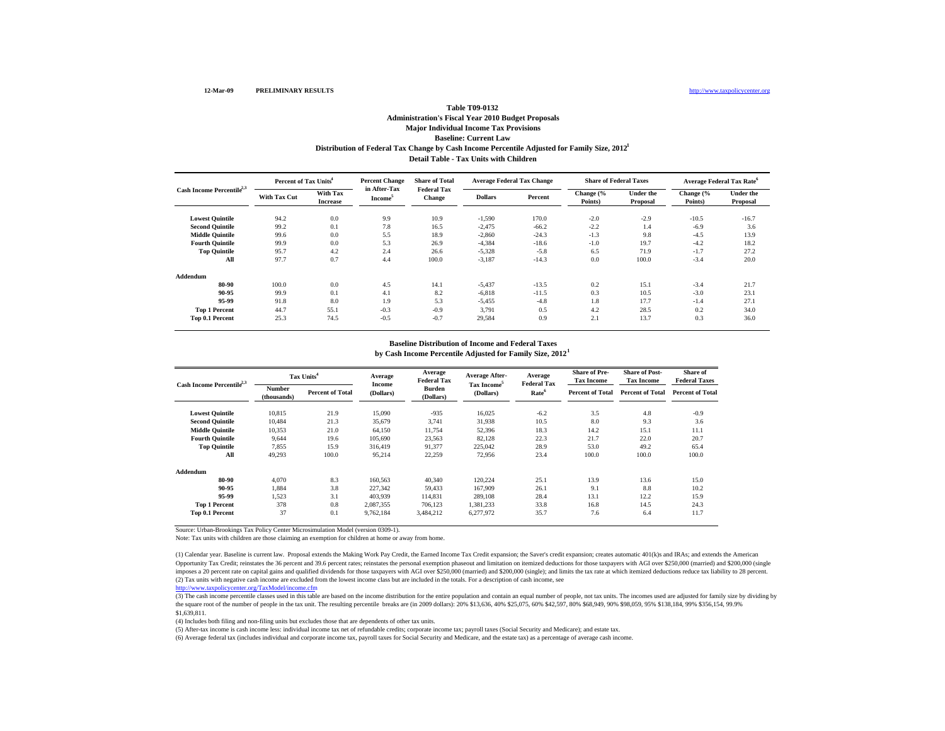### **Baseline: Current Law Distribution of Federal Tax Change by Cash Income Percentile Adjusted for Family Size, 2012 1 Table T09-0132Administration's Fiscal Year 2010 Budget Proposals Major Individual Income Tax Provisions Detail Table - Tax Units with Children**

| Cash Income Percentile <sup>2,3</sup> | Percent of Tax Units <sup>4</sup> |                                    | <b>Percent Change</b>               | <b>Share of Total</b>               | Average Federal Tax Change |         | <b>Share of Federal Taxes</b> |                       | Average Federal Tax Rate <sup>6</sup> |                              |
|---------------------------------------|-----------------------------------|------------------------------------|-------------------------------------|-------------------------------------|----------------------------|---------|-------------------------------|-----------------------|---------------------------------------|------------------------------|
|                                       | <b>With Tax Cut</b>               | <b>With Tax</b><br><b>Increase</b> | in After-Tax<br>Income <sup>5</sup> | <b>Federal Tax</b><br><b>Change</b> | <b>Dollars</b>             | Percent | Change (%<br>Points)          | Under the<br>Proposal | Change (%<br>Points)                  | <b>Under the</b><br>Proposal |
| <b>Lowest Quintile</b>                | 94.2                              | 0.0                                | 9.9                                 | 10.9                                | $-1,590$                   | 170.0   | $-2.0$                        | $-2.9$                | $-10.5$                               | $-16.7$                      |
| <b>Second Quintile</b>                | 99.2                              | 0.1                                | 7.8                                 | 16.5                                | $-2,475$                   | $-66.2$ | $-2.2$                        | 1.4                   | $-6.9$                                | 3.6                          |
| <b>Middle Quintile</b>                | 99.6                              | 0.0                                | 5.5                                 | 18.9                                | $-2,860$                   | $-24.3$ | $-1.3$                        | 9.8                   | $-4.5$                                | 13.9                         |
| <b>Fourth Quintile</b>                | 99.9                              | 0.0                                | 5.3                                 | 26.9                                | $-4,384$                   | $-18.6$ | $-1.0$                        | 19.7                  | $-4.2$                                | 18.2                         |
| <b>Top Quintile</b>                   | 95.7                              | 4.2                                | 2.4                                 | 26.6                                | $-5,328$                   | $-5.8$  | 6.5                           | 71.9                  | $-1.7$                                | 27.2                         |
| All                                   | 97.7                              | 0.7                                | 4.4                                 | 100.0                               | $-3,187$                   | $-14.3$ | 0.0                           | 100.0                 | $-3.4$                                | 20.0                         |
| Addendum                              |                                   |                                    |                                     |                                     |                            |         |                               |                       |                                       |                              |
| 80-90                                 | 100.0                             | 0.0                                | 4.5                                 | 14.1                                | $-5.437$                   | $-13.5$ | 0.2                           | 15.1                  | $-3.4$                                | 21.7                         |
| 90-95                                 | 99.9                              | 0.1                                | 4.1                                 | 8.2                                 | $-6,818$                   | $-11.5$ | 0.3                           | 10.5                  | $-3.0$                                | 23.1                         |
| 95-99                                 | 91.8                              | 8.0                                | 1.9                                 | 5.3                                 | $-5,455$                   | $-4.8$  | 1.8                           | 17.7                  | $-1.4$                                | 27.1                         |
| <b>Top 1 Percent</b>                  | 44.7                              | 55.1                               | $-0.3$                              | $-0.9$                              | 3,791                      | 0.5     | 4.2                           | 28.5                  | 0.2                                   | 34.0                         |
| Top 0.1 Percent                       | 25.3                              | 74.5                               | $-0.5$                              | $-0.7$                              | 29,584                     | 0.9     | 2.1                           | 13.7                  | 0.3                                   | 36.0                         |

#### **Baseline Distribution of Income and Federal Taxes**

**by Cash Income Percentile Adjusted for Family Size, 2012 1**

| Cash Income Percentile <sup>2,3</sup> | Tax Units <sup>4</sup> |                         | Average             | Average<br><b>Federal Tax</b> | Average After-                       | Average<br><b>Federal Tax</b> | <b>Share of Pre-</b><br><b>Tax Income</b> | <b>Share of Post-</b><br><b>Tax Income</b> | Share of<br><b>Federal Taxes</b> |
|---------------------------------------|------------------------|-------------------------|---------------------|-------------------------------|--------------------------------------|-------------------------------|-------------------------------------------|--------------------------------------------|----------------------------------|
|                                       | Number<br>(thousands)  | <b>Percent of Total</b> | Income<br>(Dollars) | <b>Burden</b><br>(Dollars)    | Tax Income <sup>5</sup><br>(Dollars) | Rate <sup>6</sup>             | <b>Percent of Total</b>                   | <b>Percent of Total</b>                    | <b>Percent of Total</b>          |
| <b>Lowest Quintile</b>                | 10.815                 | 21.9                    | 15,090              | $-935$                        | 16.025                               | $-6.2$                        | 3.5                                       | 4.8                                        | $-0.9$                           |
| <b>Second Quintile</b>                | 10.484                 | 21.3                    | 35,679              | 3,741                         | 31,938                               | 10.5                          | 8.0                                       | 9.3                                        | 3.6                              |
| <b>Middle Quintile</b>                | 10,353                 | 21.0                    | 64,150              | 11,754                        | 52,396                               | 18.3                          | 14.2                                      | 15.1                                       | 11.1                             |
| <b>Fourth Quintile</b>                | 9.644                  | 19.6                    | 105,690             | 23,563                        | 82.128                               | 22.3                          | 21.7                                      | 22.0                                       | 20.7                             |
| <b>Top Quintile</b>                   | 7,855                  | 15.9                    | 316,419             | 91,377                        | 225.042                              | 28.9                          | 53.0                                      | 49.2                                       | 65.4                             |
| All                                   | 49,293                 | 100.0                   | 95,214              | 22,259                        | 72,956                               | 23.4                          | 100.0                                     | 100.0                                      | 100.0                            |
| Addendum                              |                        |                         |                     |                               |                                      |                               |                                           |                                            |                                  |
| 80-90                                 | 4.070                  | 8.3                     | 160,563             | 40,340                        | 120,224                              | 25.1                          | 13.9                                      | 13.6                                       | 15.0                             |
| 90-95                                 | 1.884                  | 3.8                     | 227,342             | 59,433                        | 167,909                              | 26.1                          | 9.1                                       | 8.8                                        | 10.2                             |
| 95-99                                 | 1.523                  | 3.1                     | 403.939             | 114,831                       | 289,108                              | 28.4                          | 13.1                                      | 12.2                                       | 15.9                             |
| <b>Top 1 Percent</b>                  | 378                    | 0.8                     | 2,087,355           | 706,123                       | 1,381,233                            | 33.8                          | 16.8                                      | 14.5                                       | 24.3                             |
| Top 0.1 Percent                       | 37                     | 0.1                     | 9,762,184           | 3,484,212                     | 6,277,972                            | 35.7                          | 7.6                                       | 6.4                                        | 11.7                             |

Source: Urban-Brookings Tax Policy Center Microsimulation Model (version 0309-1).

Note: Tax units with children are those claiming an exemption for children at home or away from home.

(2) Tax units with negative cash income are excluded from the lowest income class but are included in the totals. For a description of cash income, see (1) Calendar year. Baseline is current law. Proposal extends the Making Work Pay Credit, the Earned Income Tax Credit expansion; the Saver's credit expansion; creates automatic 401(k)s and IRAs; and extends the American Opportunity Tax Credit; reinstates the 36 percent and 39.6 percent rates; reinstates the personal exemption phaseout and limitation on itemized deductions for those taxpayers with AGI over \$250,000 (married) and \$200,000 ( imposes a 20 percent rate on capital gains and qualified dividends for those taxpayers with AGI over \$250,000 (married) and \$200,000 (single); and limits the tax rate at which itemized deductions reduce tax liability to 28

http://www.taxpolicycenter.org/TaxModel/income.cfm

(3) The cash income percentile classes used in this table are based on the income distribution for the entire population and contain an equal number of people, not tax units. The incomes used are adjusted for family size b the square root of the number of people in the tax unit. The resulting percentile breaks are (in 2009 dollars): 20% \$13,636, 40% \$25,075, 60% \$42,597, 80% \$68,949, 90% \$98,059, 95% \$138,184, 99% \$356,154, 99.9% \$1,639,811.

(4) Includes both filing and non-filing units but excludes those that are dependents of other tax units.

(5) After-tax income is cash income less: individual income tax net of refundable credits; corporate income tax; payroll taxes (Social Security and Medicare); and estate tax.